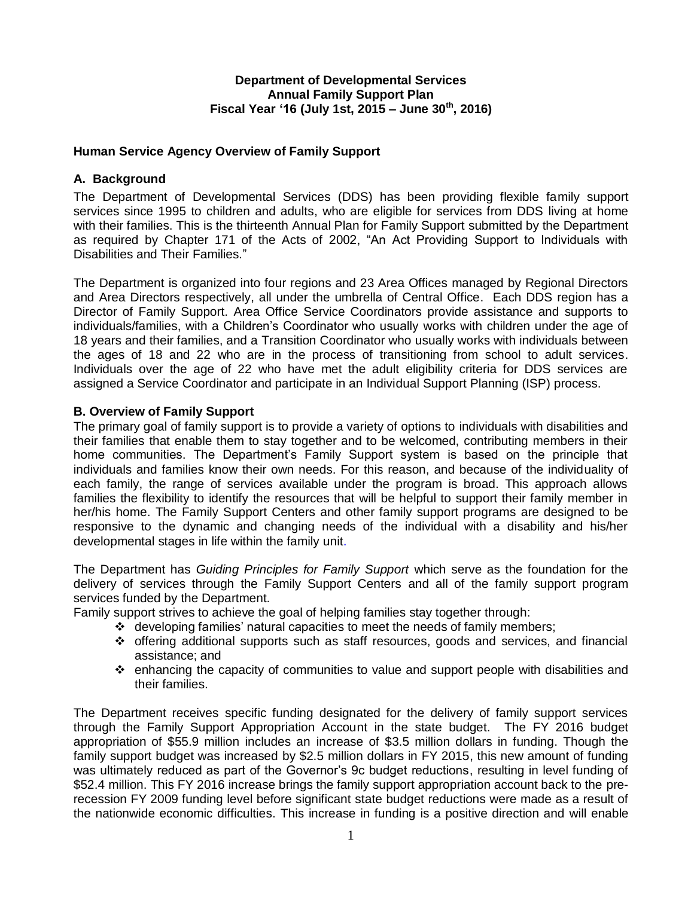## **Department of Developmental Services Annual Family Support Plan Fiscal Year '16 (July 1st, 2015 – June 30th , 2016)**

# **Human Service Agency Overview of Family Support**

# **A. Background**

The Department of Developmental Services (DDS) has been providing flexible family support services since 1995 to children and adults, who are eligible for services from DDS living at home with their families. This is the thirteenth Annual Plan for Family Support submitted by the Department as required by Chapter 171 of the Acts of 2002, "An Act Providing Support to Individuals with Disabilities and Their Families."

The Department is organized into four regions and 23 Area Offices managed by Regional Directors and Area Directors respectively, all under the umbrella of Central Office. Each DDS region has a Director of Family Support. Area Office Service Coordinators provide assistance and supports to individuals/families, with a Children's Coordinator who usually works with children under the age of 18 years and their families, and a Transition Coordinator who usually works with individuals between the ages of 18 and 22 who are in the process of transitioning from school to adult services. Individuals over the age of 22 who have met the adult eligibility criteria for DDS services are assigned a Service Coordinator and participate in an Individual Support Planning (ISP) process.

## **B. Overview of Family Support**

The primary goal of family support is to provide a variety of options to individuals with disabilities and their families that enable them to stay together and to be welcomed, contributing members in their home communities. The Department's Family Support system is based on the principle that individuals and families know their own needs. For this reason, and because of the individuality of each family, the range of services available under the program is broad. This approach allows families the flexibility to identify the resources that will be helpful to support their family member in her/his home. The Family Support Centers and other family support programs are designed to be responsive to the dynamic and changing needs of the individual with a disability and his/her developmental stages in life within the family unit.

The Department has *Guiding Principles for Family Support* which serve as the foundation for the delivery of services through the Family Support Centers and all of the family support program services funded by the Department.

Family support strives to achieve the goal of helping families stay together through:

- developing families' natural capacities to meet the needs of family members;
- $\div$  offering additional supports such as staff resources, goods and services, and financial assistance; and
- $\div$  enhancing the capacity of communities to value and support people with disabilities and their families.

The Department receives specific funding designated for the delivery of family support services through the Family Support Appropriation Account in the state budget. The FY 2016 budget appropriation of \$55.9 million includes an increase of \$3.5 million dollars in funding. Though the family support budget was increased by \$2.5 million dollars in FY 2015, this new amount of funding was ultimately reduced as part of the Governor's 9c budget reductions, resulting in level funding of \$52.4 million. This FY 2016 increase brings the family support appropriation account back to the prerecession FY 2009 funding level before significant state budget reductions were made as a result of the nationwide economic difficulties. This increase in funding is a positive direction and will enable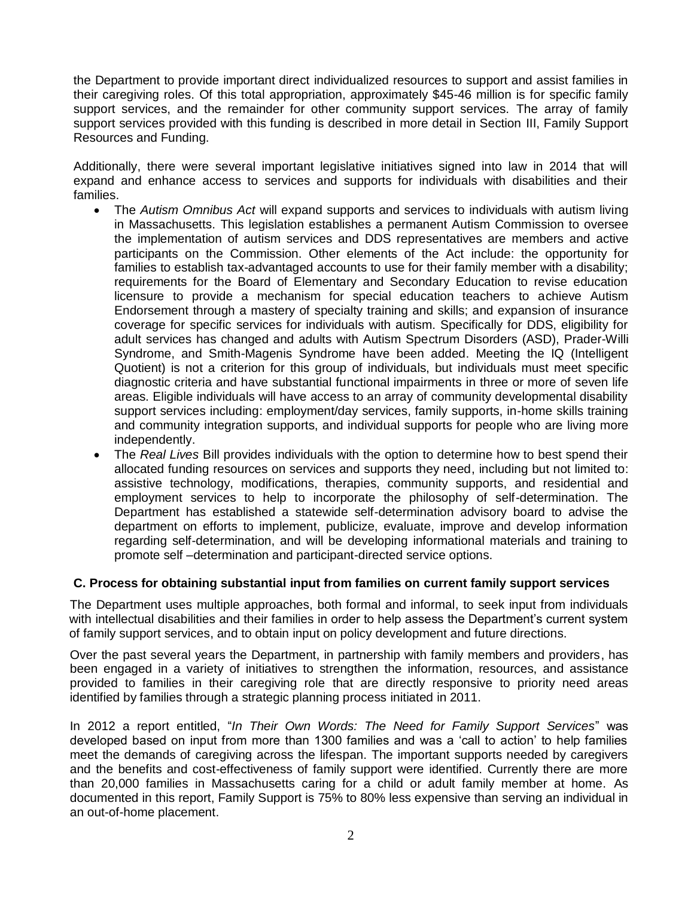the Department to provide important direct individualized resources to support and assist families in their caregiving roles. Of this total appropriation, approximately \$45-46 million is for specific family support services, and the remainder for other community support services. The array of family support services provided with this funding is described in more detail in Section III, Family Support Resources and Funding.

Additionally, there were several important legislative initiatives signed into law in 2014 that will expand and enhance access to services and supports for individuals with disabilities and their families.

- The *Autism Omnibus Act* will expand supports and services to individuals with autism living in Massachusetts. This legislation establishes a permanent Autism Commission to oversee the implementation of autism services and DDS representatives are members and active participants on the Commission. Other elements of the Act include: the opportunity for families to establish tax-advantaged accounts to use for their family member with a disability; requirements for the Board of Elementary and Secondary Education to revise education licensure to provide a mechanism for special education teachers to achieve Autism Endorsement through a mastery of specialty training and skills; and expansion of insurance coverage for specific services for individuals with autism. Specifically for DDS, eligibility for adult services has changed and adults with Autism Spectrum Disorders (ASD), Prader-Willi Syndrome, and Smith-Magenis Syndrome have been added. Meeting the IQ (Intelligent Quotient) is not a criterion for this group of individuals, but individuals must meet specific diagnostic criteria and have substantial functional impairments in three or more of seven life areas. Eligible individuals will have access to an array of community developmental disability support services including: employment/day services, family supports, in-home skills training and community integration supports, and individual supports for people who are living more independently.
- The *Real Lives* Bill provides individuals with the option to determine how to best spend their allocated funding resources on services and supports they need, including but not limited to: assistive technology, modifications, therapies, community supports, and residential and employment services to help to incorporate the philosophy of self-determination. The Department has established a statewide self-determination advisory board to advise the department on efforts to implement, publicize, evaluate, improve and develop information regarding self-determination, and will be developing informational materials and training to promote self –determination and participant-directed service options.

# **C. Process for obtaining substantial input from families on current family support services**

The Department uses multiple approaches, both formal and informal, to seek input from individuals with intellectual disabilities and their families in order to help assess the Department's current system of family support services, and to obtain input on policy development and future directions.

Over the past several years the Department, in partnership with family members and providers, has been engaged in a variety of initiatives to strengthen the information, resources, and assistance provided to families in their caregiving role that are directly responsive to priority need areas identified by families through a strategic planning process initiated in 2011.

In 2012 a report entitled, "*In Their Own Words: The Need for Family Support Services*" was developed based on input from more than 1300 families and was a 'call to action' to help families meet the demands of caregiving across the lifespan. The important supports needed by caregivers and the benefits and cost-effectiveness of family support were identified. Currently there are more than 20,000 families in Massachusetts caring for a child or adult family member at home. As documented in this report, Family Support is 75% to 80% less expensive than serving an individual in an out-of-home placement.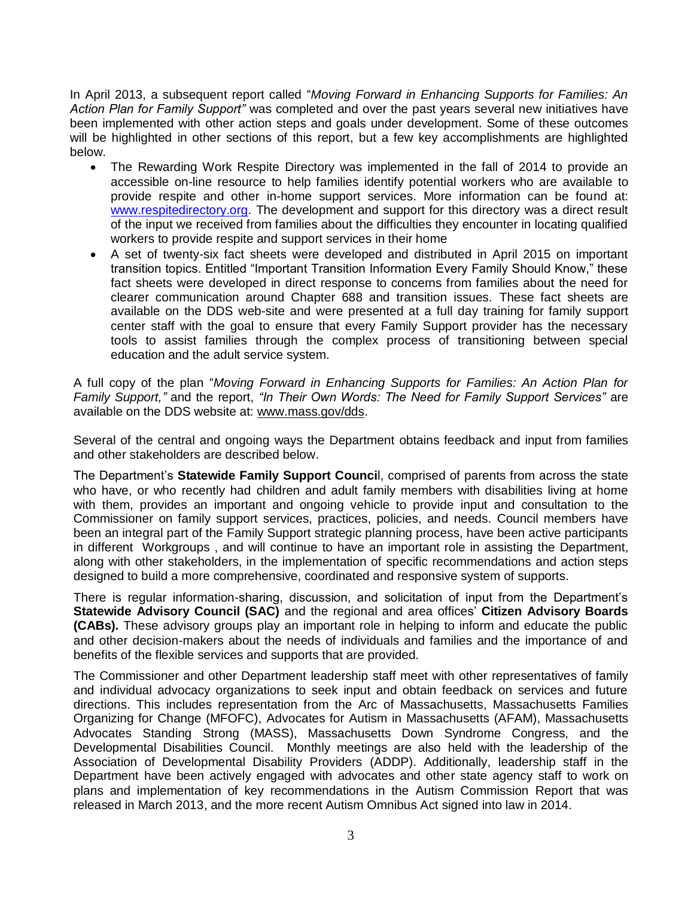In April 2013, a subsequent report called "*Moving Forward in Enhancing Supports for Families: An Action Plan for Family Support"* was completed and over the past years several new initiatives have been implemented with other action steps and goals under development. Some of these outcomes will be highlighted in other sections of this report, but a few key accomplishments are highlighted below.

- The Rewarding Work Respite Directory was implemented in the fall of 2014 to provide an accessible on-line resource to help families identify potential workers who are available to provide respite and other in-home support services. More information can be found at: [www.respitedirectory.org.](http://www.respitedirectory.org/) The development and support for this directory was a direct result of the input we received from families about the difficulties they encounter in locating qualified workers to provide respite and support services in their home
- A set of twenty-six fact sheets were developed and distributed in April 2015 on important transition topics. Entitled "Important Transition Information Every Family Should Know," these fact sheets were developed in direct response to concerns from families about the need for clearer communication around Chapter 688 and transition issues. These fact sheets are available on the DDS web-site and were presented at a full day training for family support center staff with the goal to ensure that every Family Support provider has the necessary tools to assist families through the complex process of transitioning between special education and the adult service system.

A full copy of the plan "*Moving Forward in Enhancing Supports for Families: An Action Plan for Family Support,"* and the report, *"In Their Own Words: The Need for Family Support Services"* are available on the DDS website at: [www.mass.gov/dds.](http://www.mass.gov/dds)

Several of the central and ongoing ways the Department obtains feedback and input from families and other stakeholders are described below.

The Department's **Statewide Family Support Counci**l, comprised of parents from across the state who have, or who recently had children and adult family members with disabilities living at home with them, provides an important and ongoing vehicle to provide input and consultation to the Commissioner on family support services, practices, policies, and needs. Council members have been an integral part of the Family Support strategic planning process, have been active participants in different Workgroups , and will continue to have an important role in assisting the Department, along with other stakeholders, in the implementation of specific recommendations and action steps designed to build a more comprehensive, coordinated and responsive system of supports.

There is regular information-sharing, discussion, and solicitation of input from the Department's **Statewide Advisory Council (SAC)** and the regional and area offices' **Citizen Advisory Boards (CABs).** These advisory groups play an important role in helping to inform and educate the public and other decision-makers about the needs of individuals and families and the importance of and benefits of the flexible services and supports that are provided.

The Commissioner and other Department leadership staff meet with other representatives of family and individual advocacy organizations to seek input and obtain feedback on services and future directions. This includes representation from the Arc of Massachusetts, Massachusetts Families Organizing for Change (MFOFC), Advocates for Autism in Massachusetts (AFAM), Massachusetts Advocates Standing Strong (MASS), Massachusetts Down Syndrome Congress, and the Developmental Disabilities Council. Monthly meetings are also held with the leadership of the Association of Developmental Disability Providers (ADDP). Additionally, leadership staff in the Department have been actively engaged with advocates and other state agency staff to work on plans and implementation of key recommendations in the Autism Commission Report that was released in March 2013, and the more recent Autism Omnibus Act signed into law in 2014.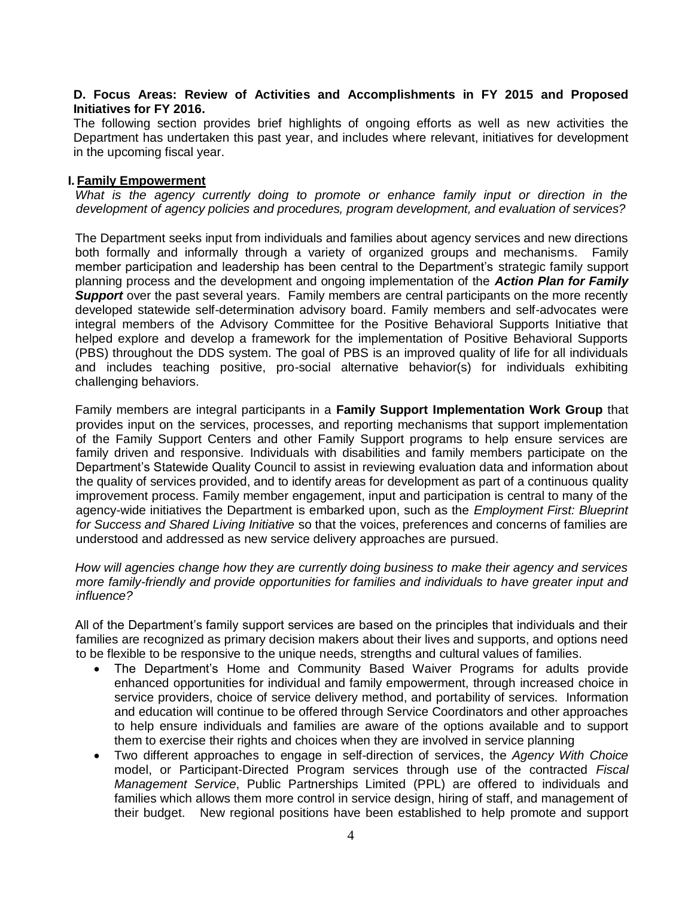#### **D. Focus Areas: Review of Activities and Accomplishments in FY 2015 and Proposed Initiatives for FY 2016.**

The following section provides brief highlights of ongoing efforts as well as new activities the Department has undertaken this past year, and includes where relevant, initiatives for development in the upcoming fiscal year.

#### **I. Family Empowerment**

*What is the agency currently doing to promote or enhance family input or direction in the development of agency policies and procedures, program development, and evaluation of services?*

The Department seeks input from individuals and families about agency services and new directions both formally and informally through a variety of organized groups and mechanisms. Family member participation and leadership has been central to the Department's strategic family support planning process and the development and ongoing implementation of the *Action Plan for Family Support* over the past several years. Family members are central participants on the more recently developed statewide self-determination advisory board. Family members and self-advocates were integral members of the Advisory Committee for the Positive Behavioral Supports Initiative that helped explore and develop a framework for the implementation of Positive Behavioral Supports (PBS) throughout the DDS system. The goal of PBS is an improved quality of life for all individuals and includes teaching positive, pro-social alternative behavior(s) for individuals exhibiting challenging behaviors.

Family members are integral participants in a **Family Support Implementation Work Group** that provides input on the services, processes, and reporting mechanisms that support implementation of the Family Support Centers and other Family Support programs to help ensure services are family driven and responsive. Individuals with disabilities and family members participate on the Department's Statewide Quality Council to assist in reviewing evaluation data and information about the quality of services provided, and to identify areas for development as part of a continuous quality improvement process. Family member engagement, input and participation is central to many of the agency-wide initiatives the Department is embarked upon, such as the *Employment First: Blueprint for Success and Shared Living Initiative* so that the voices, preferences and concerns of families are understood and addressed as new service delivery approaches are pursued.

*How will agencies change how they are currently doing business to make their agency and services more family-friendly and provide opportunities for families and individuals to have greater input and influence?*

All of the Department's family support services are based on the principles that individuals and their families are recognized as primary decision makers about their lives and supports, and options need to be flexible to be responsive to the unique needs, strengths and cultural values of families.

- The Department's Home and Community Based Waiver Programs for adults provide enhanced opportunities for individual and family empowerment, through increased choice in service providers, choice of service delivery method, and portability of services. Information and education will continue to be offered through Service Coordinators and other approaches to help ensure individuals and families are aware of the options available and to support them to exercise their rights and choices when they are involved in service planning
- Two different approaches to engage in self-direction of services, the *Agency With Choice* model, or Participant-Directed Program services through use of the contracted *Fiscal Management Service*, Public Partnerships Limited (PPL) are offered to individuals and families which allows them more control in service design, hiring of staff, and management of their budget. New regional positions have been established to help promote and support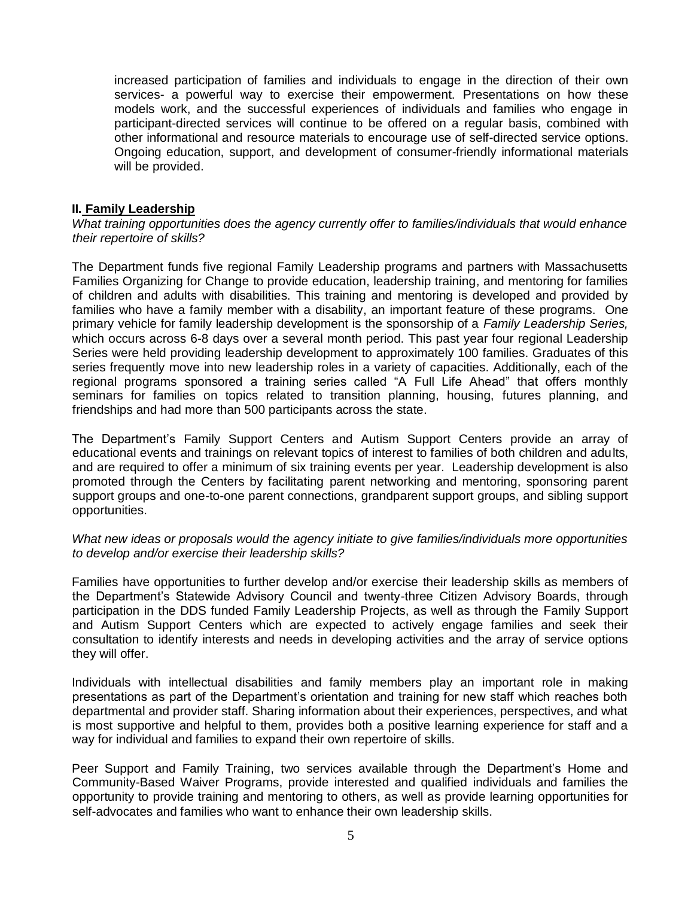increased participation of families and individuals to engage in the direction of their own services- a powerful way to exercise their empowerment. Presentations on how these models work, and the successful experiences of individuals and families who engage in participant-directed services will continue to be offered on a regular basis, combined with other informational and resource materials to encourage use of self-directed service options. Ongoing education, support, and development of consumer-friendly informational materials will be provided.

## **II. Family Leadership**

*What training opportunities does the agency currently offer to families/individuals that would enhance their repertoire of skills?*

The Department funds five regional Family Leadership programs and partners with Massachusetts Families Organizing for Change to provide education, leadership training, and mentoring for families of children and adults with disabilities. This training and mentoring is developed and provided by families who have a family member with a disability, an important feature of these programs. One primary vehicle for family leadership development is the sponsorship of a *Family Leadership Series,* which occurs across 6-8 days over a several month period. This past year four regional Leadership Series were held providing leadership development to approximately 100 families. Graduates of this series frequently move into new leadership roles in a variety of capacities. Additionally, each of the regional programs sponsored a training series called "A Full Life Ahead" that offers monthly seminars for families on topics related to transition planning, housing, futures planning, and friendships and had more than 500 participants across the state.

The Department's Family Support Centers and Autism Support Centers provide an array of educational events and trainings on relevant topics of interest to families of both children and adults, and are required to offer a minimum of six training events per year. Leadership development is also promoted through the Centers by facilitating parent networking and mentoring, sponsoring parent support groups and one-to-one parent connections, grandparent support groups, and sibling support opportunities.

#### *What new ideas or proposals would the agency initiate to give families/individuals more opportunities to develop and/or exercise their leadership skills?*

Families have opportunities to further develop and/or exercise their leadership skills as members of the Department's Statewide Advisory Council and twenty-three Citizen Advisory Boards, through participation in the DDS funded Family Leadership Projects, as well as through the Family Support and Autism Support Centers which are expected to actively engage families and seek their consultation to identify interests and needs in developing activities and the array of service options they will offer.

Individuals with intellectual disabilities and family members play an important role in making presentations as part of the Department's orientation and training for new staff which reaches both departmental and provider staff. Sharing information about their experiences, perspectives, and what is most supportive and helpful to them, provides both a positive learning experience for staff and a way for individual and families to expand their own repertoire of skills.

Peer Support and Family Training, two services available through the Department's Home and Community-Based Waiver Programs, provide interested and qualified individuals and families the opportunity to provide training and mentoring to others, as well as provide learning opportunities for self-advocates and families who want to enhance their own leadership skills.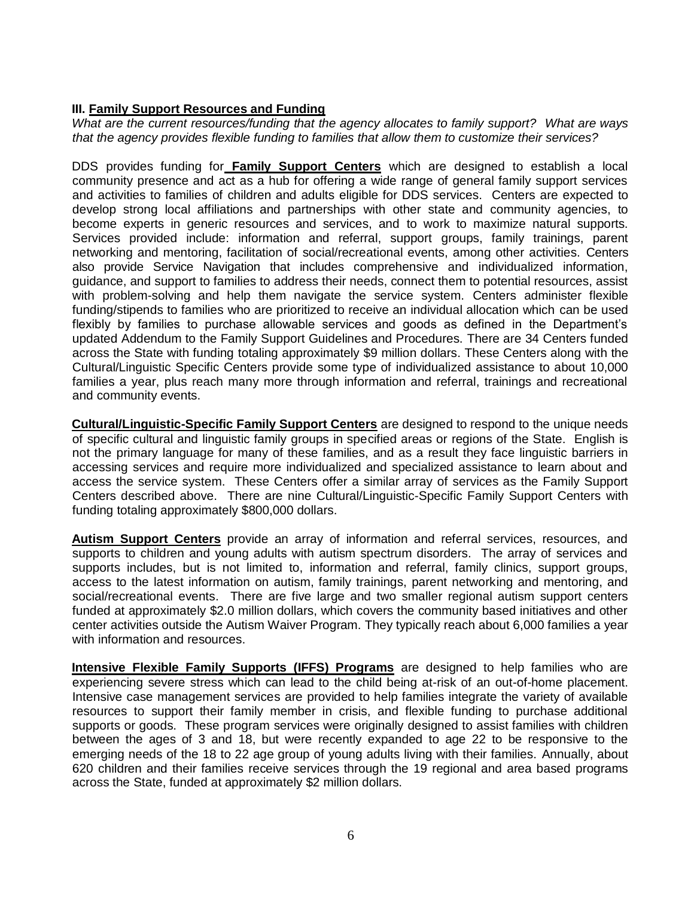# **III. Family Support Resources and Funding**

*What are the current resources/funding that the agency allocates to family support? What are ways that the agency provides flexible funding to families that allow them to customize their services?*

DDS provides funding for **Family Support Centers** which are designed to establish a local community presence and act as a hub for offering a wide range of general family support services and activities to families of children and adults eligible for DDS services. Centers are expected to develop strong local affiliations and partnerships with other state and community agencies, to become experts in generic resources and services, and to work to maximize natural supports. Services provided include: information and referral, support groups, family trainings, parent networking and mentoring, facilitation of social/recreational events, among other activities. Centers also provide Service Navigation that includes comprehensive and individualized information, guidance, and support to families to address their needs, connect them to potential resources, assist with problem-solving and help them navigate the service system. Centers administer flexible funding/stipends to families who are prioritized to receive an individual allocation which can be used flexibly by families to purchase allowable services and goods as defined in the Department's updated Addendum to the Family Support Guidelines and Procedures. There are 34 Centers funded across the State with funding totaling approximately \$9 million dollars. These Centers along with the Cultural/Linguistic Specific Centers provide some type of individualized assistance to about 10,000 families a year, plus reach many more through information and referral, trainings and recreational and community events.

**Cultural/Linguistic-Specific Family Support Centers** are designed to respond to the unique needs of specific cultural and linguistic family groups in specified areas or regions of the State. English is not the primary language for many of these families, and as a result they face linguistic barriers in accessing services and require more individualized and specialized assistance to learn about and access the service system. These Centers offer a similar array of services as the Family Support Centers described above. There are nine Cultural/Linguistic-Specific Family Support Centers with funding totaling approximately \$800,000 dollars.

**Autism Support Centers** provide an array of information and referral services, resources, and supports to children and young adults with autism spectrum disorders. The array of services and supports includes, but is not limited to, information and referral, family clinics, support groups, access to the latest information on autism, family trainings, parent networking and mentoring, and social/recreational events. There are five large and two smaller regional autism support centers funded at approximately \$2.0 million dollars, which covers the community based initiatives and other center activities outside the Autism Waiver Program. They typically reach about 6,000 families a year with information and resources.

**Intensive Flexible Family Supports (IFFS) Programs** are designed to help families who are experiencing severe stress which can lead to the child being at-risk of an out-of-home placement. Intensive case management services are provided to help families integrate the variety of available resources to support their family member in crisis, and flexible funding to purchase additional supports or goods. These program services were originally designed to assist families with children between the ages of 3 and 18, but were recently expanded to age 22 to be responsive to the emerging needs of the 18 to 22 age group of young adults living with their families. Annually, about 620 children and their families receive services through the 19 regional and area based programs across the State, funded at approximately \$2 million dollars.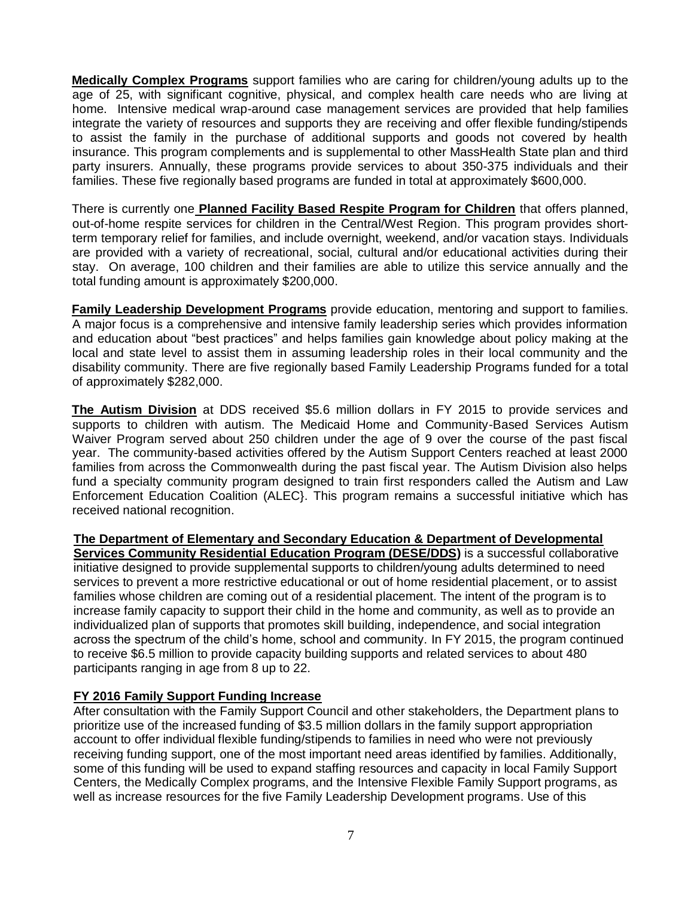**Medically Complex Programs** support families who are caring for children/young adults up to the age of 25, with significant cognitive, physical, and complex health care needs who are living at home. Intensive medical wrap-around case management services are provided that help families integrate the variety of resources and supports they are receiving and offer flexible funding/stipends to assist the family in the purchase of additional supports and goods not covered by health insurance. This program complements and is supplemental to other MassHealth State plan and third party insurers. Annually, these programs provide services to about 350-375 individuals and their families. These five regionally based programs are funded in total at approximately \$600,000.

There is currently one **Planned Facility Based Respite Program for Children** that offers planned, out-of-home respite services for children in the Central/West Region. This program provides shortterm temporary relief for families, and include overnight, weekend, and/or vacation stays. Individuals are provided with a variety of recreational, social, cultural and/or educational activities during their stay. On average, 100 children and their families are able to utilize this service annually and the total funding amount is approximately \$200,000.

**Family Leadership Development Programs** provide education, mentoring and support to families. A major focus is a comprehensive and intensive family leadership series which provides information and education about "best practices" and helps families gain knowledge about policy making at the local and state level to assist them in assuming leadership roles in their local community and the disability community. There are five regionally based Family Leadership Programs funded for a total of approximately \$282,000.

**The Autism Division** at DDS received \$5.6 million dollars in FY 2015 to provide services and supports to children with autism. The Medicaid Home and Community-Based Services Autism Waiver Program served about 250 children under the age of 9 over the course of the past fiscal year. The community-based activities offered by the Autism Support Centers reached at least 2000 families from across the Commonwealth during the past fiscal year. The Autism Division also helps fund a specialty community program designed to train first responders called the Autism and Law Enforcement Education Coalition (ALEC}. This program remains a successful initiative which has received national recognition.

**The Department of Elementary and Secondary Education & Department of Developmental** 

**Services Community Residential Education Program (DESE/DDS)** is a successful collaborative initiative designed to provide supplemental supports to children/young adults determined to need services to prevent a more restrictive educational or out of home residential placement, or to assist families whose children are coming out of a residential placement. The intent of the program is to increase family capacity to support their child in the home and community, as well as to provide an individualized plan of supports that promotes skill building, independence, and social integration across the spectrum of the child's home, school and community. In FY 2015, the program continued to receive \$6.5 million to provide capacity building supports and related services to about 480 participants ranging in age from 8 up to 22.

# **FY 2016 Family Support Funding Increase**

After consultation with the Family Support Council and other stakeholders, the Department plans to prioritize use of the increased funding of \$3.5 million dollars in the family support appropriation account to offer individual flexible funding/stipends to families in need who were not previously receiving funding support, one of the most important need areas identified by families. Additionally, some of this funding will be used to expand staffing resources and capacity in local Family Support Centers, the Medically Complex programs, and the Intensive Flexible Family Support programs, as well as increase resources for the five Family Leadership Development programs. Use of this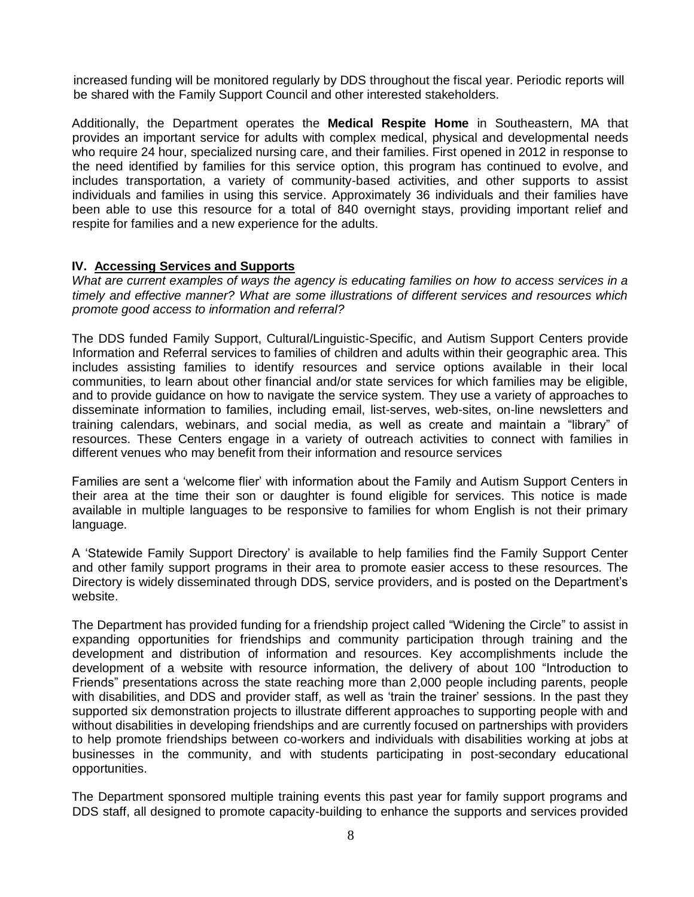increased funding will be monitored regularly by DDS throughout the fiscal year. Periodic reports will be shared with the Family Support Council and other interested stakeholders.

Additionally, the Department operates the **Medical Respite Home** in Southeastern, MA that provides an important service for adults with complex medical, physical and developmental needs who require 24 hour, specialized nursing care, and their families. First opened in 2012 in response to the need identified by families for this service option, this program has continued to evolve, and includes transportation, a variety of community-based activities, and other supports to assist individuals and families in using this service. Approximately 36 individuals and their families have been able to use this resource for a total of 840 overnight stays, providing important relief and respite for families and a new experience for the adults.

## **IV. Accessing Services and Supports**

*What are current examples of ways the agency is educating families on how to access services in a timely and effective manner? What are some illustrations of different services and resources which promote good access to information and referral?*

The DDS funded Family Support, Cultural/Linguistic-Specific, and Autism Support Centers provide Information and Referral services to families of children and adults within their geographic area. This includes assisting families to identify resources and service options available in their local communities, to learn about other financial and/or state services for which families may be eligible, and to provide guidance on how to navigate the service system. They use a variety of approaches to disseminate information to families, including email, list-serves, web-sites, on-line newsletters and training calendars, webinars, and social media, as well as create and maintain a "library" of resources. These Centers engage in a variety of outreach activities to connect with families in different venues who may benefit from their information and resource services

Families are sent a 'welcome flier' with information about the Family and Autism Support Centers in their area at the time their son or daughter is found eligible for services. This notice is made available in multiple languages to be responsive to families for whom English is not their primary language.

A 'Statewide Family Support Directory' is available to help families find the Family Support Center and other family support programs in their area to promote easier access to these resources. The Directory is widely disseminated through DDS, service providers, and is posted on the Department's website.

The Department has provided funding for a friendship project called "Widening the Circle" to assist in expanding opportunities for friendships and community participation through training and the development and distribution of information and resources. Key accomplishments include the development of a website with resource information, the delivery of about 100 "Introduction to Friends" presentations across the state reaching more than 2,000 people including parents, people with disabilities, and DDS and provider staff, as well as 'train the trainer' sessions. In the past they supported six demonstration projects to illustrate different approaches to supporting people with and without disabilities in developing friendships and are currently focused on partnerships with providers to help promote friendships between co-workers and individuals with disabilities working at jobs at businesses in the community, and with students participating in post-secondary educational opportunities.

The Department sponsored multiple training events this past year for family support programs and DDS staff, all designed to promote capacity-building to enhance the supports and services provided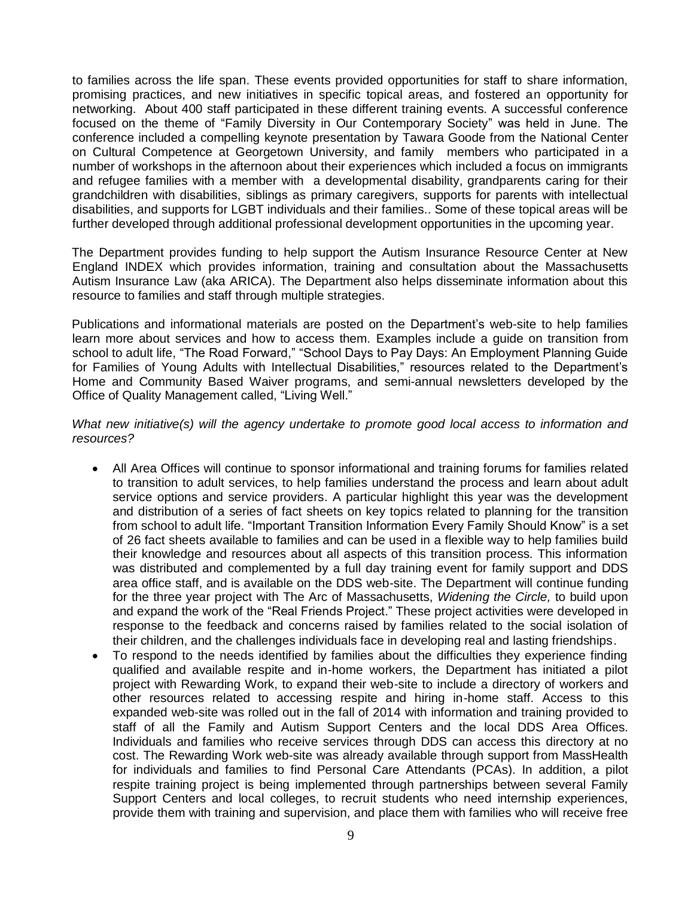to families across the life span. These events provided opportunities for staff to share information, promising practices, and new initiatives in specific topical areas, and fostered an opportunity for networking. About 400 staff participated in these different training events. A successful conference focused on the theme of "Family Diversity in Our Contemporary Society" was held in June. The conference included a compelling keynote presentation by Tawara Goode from the National Center on Cultural Competence at Georgetown University, and family members who participated in a number of workshops in the afternoon about their experiences which included a focus on immigrants and refugee families with a member with a developmental disability, grandparents caring for their grandchildren with disabilities, siblings as primary caregivers, supports for parents with intellectual disabilities, and supports for LGBT individuals and their families.. Some of these topical areas will be further developed through additional professional development opportunities in the upcoming year.

The Department provides funding to help support the Autism Insurance Resource Center at New England INDEX which provides information, training and consultation about the Massachusetts Autism Insurance Law (aka ARICA). The Department also helps disseminate information about this resource to families and staff through multiple strategies.

Publications and informational materials are posted on the Department's web-site to help families learn more about services and how to access them. Examples include a guide on transition from school to adult life, "The Road Forward," "School Days to Pay Days: An Employment Planning Guide for Families of Young Adults with Intellectual Disabilities," resources related to the Department's Home and Community Based Waiver programs, and semi-annual newsletters developed by the Office of Quality Management called, "Living Well."

*What new initiative(s) will the agency undertake to promote good local access to information and resources?*

- All Area Offices will continue to sponsor informational and training forums for families related to transition to adult services, to help families understand the process and learn about adult service options and service providers. A particular highlight this year was the development and distribution of a series of fact sheets on key topics related to planning for the transition from school to adult life. "Important Transition Information Every Family Should Know" is a set of 26 fact sheets available to families and can be used in a flexible way to help families build their knowledge and resources about all aspects of this transition process. This information was distributed and complemented by a full day training event for family support and DDS area office staff, and is available on the DDS web-site. The Department will continue funding for the three year project with The Arc of Massachusetts, *Widening the Circle,* to build upon and expand the work of the "Real Friends Project." These project activities were developed in response to the feedback and concerns raised by families related to the social isolation of their children, and the challenges individuals face in developing real and lasting friendships.
- To respond to the needs identified by families about the difficulties they experience finding qualified and available respite and in-home workers, the Department has initiated a pilot project with Rewarding Work, to expand their web-site to include a directory of workers and other resources related to accessing respite and hiring in-home staff. Access to this expanded web-site was rolled out in the fall of 2014 with information and training provided to staff of all the Family and Autism Support Centers and the local DDS Area Offices. Individuals and families who receive services through DDS can access this directory at no cost. The Rewarding Work web-site was already available through support from MassHealth for individuals and families to find Personal Care Attendants (PCAs). In addition, a pilot respite training project is being implemented through partnerships between several Family Support Centers and local colleges, to recruit students who need internship experiences, provide them with training and supervision, and place them with families who will receive free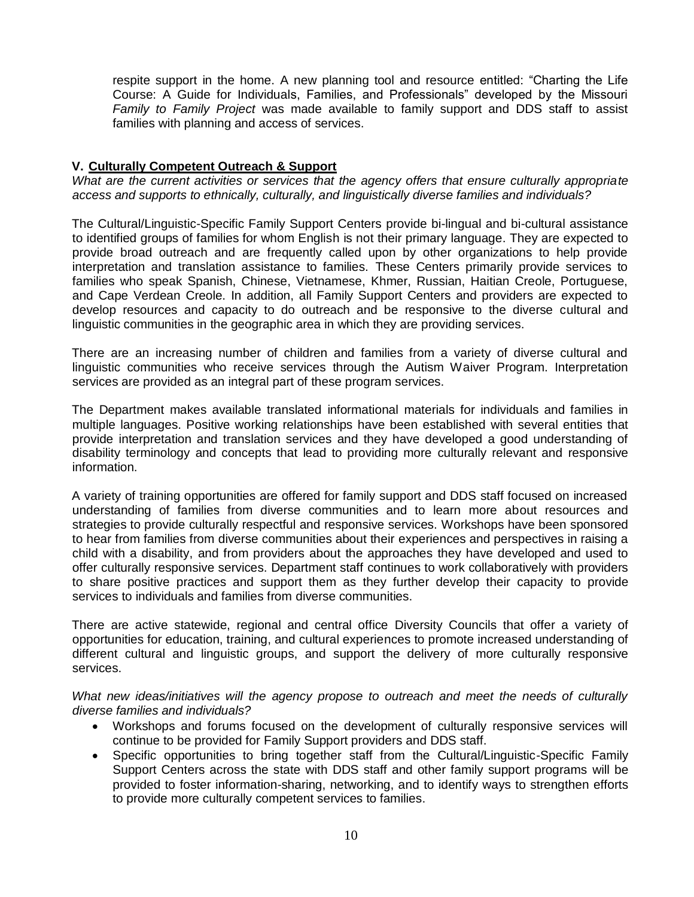respite support in the home. A new planning tool and resource entitled: "Charting the Life Course: A Guide for Individuals, Families, and Professionals" developed by the Missouri *Family to Family Project* was made available to family support and DDS staff to assist families with planning and access of services.

## **V. Culturally Competent Outreach & Support**

*What are the current activities or services that the agency offers that ensure culturally appropriate access and supports to ethnically, culturally, and linguistically diverse families and individuals?*

The Cultural/Linguistic-Specific Family Support Centers provide bi-lingual and bi-cultural assistance to identified groups of families for whom English is not their primary language. They are expected to provide broad outreach and are frequently called upon by other organizations to help provide interpretation and translation assistance to families. These Centers primarily provide services to families who speak Spanish, Chinese, Vietnamese, Khmer, Russian, Haitian Creole, Portuguese, and Cape Verdean Creole. In addition, all Family Support Centers and providers are expected to develop resources and capacity to do outreach and be responsive to the diverse cultural and linguistic communities in the geographic area in which they are providing services.

There are an increasing number of children and families from a variety of diverse cultural and linguistic communities who receive services through the Autism Waiver Program. Interpretation services are provided as an integral part of these program services.

The Department makes available translated informational materials for individuals and families in multiple languages. Positive working relationships have been established with several entities that provide interpretation and translation services and they have developed a good understanding of disability terminology and concepts that lead to providing more culturally relevant and responsive information.

A variety of training opportunities are offered for family support and DDS staff focused on increased understanding of families from diverse communities and to learn more about resources and strategies to provide culturally respectful and responsive services. Workshops have been sponsored to hear from families from diverse communities about their experiences and perspectives in raising a child with a disability, and from providers about the approaches they have developed and used to offer culturally responsive services. Department staff continues to work collaboratively with providers to share positive practices and support them as they further develop their capacity to provide services to individuals and families from diverse communities.

There are active statewide, regional and central office Diversity Councils that offer a variety of opportunities for education, training, and cultural experiences to promote increased understanding of different cultural and linguistic groups, and support the delivery of more culturally responsive services.

*What new ideas/initiatives will the agency propose to outreach and meet the needs of culturally diverse families and individuals?*

- Workshops and forums focused on the development of culturally responsive services will continue to be provided for Family Support providers and DDS staff.
- Specific opportunities to bring together staff from the Cultural/Linguistic-Specific Family Support Centers across the state with DDS staff and other family support programs will be provided to foster information-sharing, networking, and to identify ways to strengthen efforts to provide more culturally competent services to families.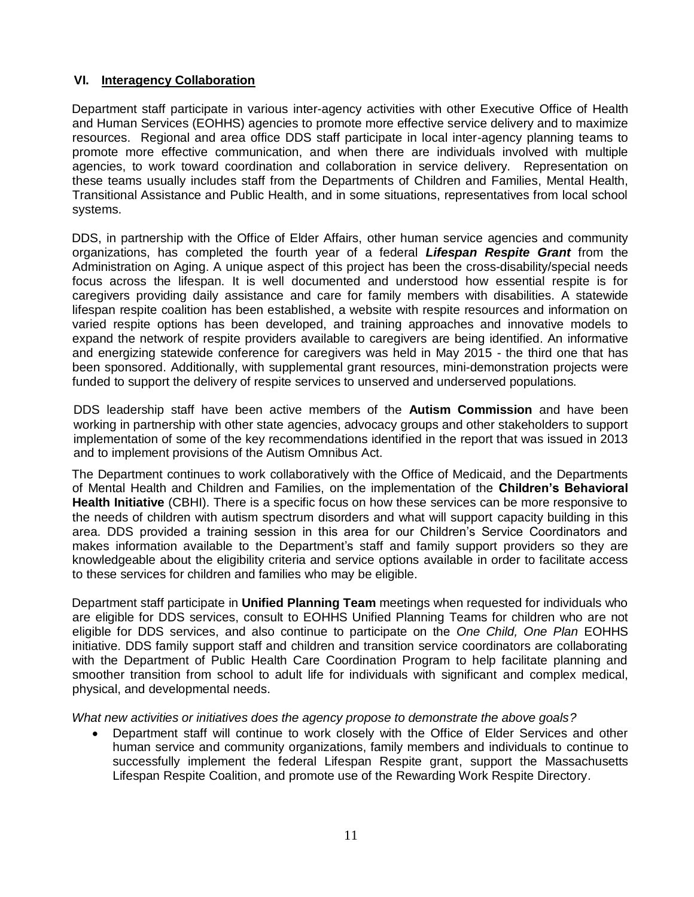# **VI. Interagency Collaboration**

Department staff participate in various inter-agency activities with other Executive Office of Health and Human Services (EOHHS) agencies to promote more effective service delivery and to maximize resources. Regional and area office DDS staff participate in local inter-agency planning teams to promote more effective communication, and when there are individuals involved with multiple agencies, to work toward coordination and collaboration in service delivery. Representation on these teams usually includes staff from the Departments of Children and Families, Mental Health, Transitional Assistance and Public Health, and in some situations, representatives from local school systems.

DDS, in partnership with the Office of Elder Affairs, other human service agencies and community organizations, has completed the fourth year of a federal *Lifespan Respite Grant* from the Administration on Aging. A unique aspect of this project has been the cross-disability/special needs focus across the lifespan. It is well documented and understood how essential respite is for caregivers providing daily assistance and care for family members with disabilities. A statewide lifespan respite coalition has been established, a website with respite resources and information on varied respite options has been developed, and training approaches and innovative models to expand the network of respite providers available to caregivers are being identified. An informative and energizing statewide conference for caregivers was held in May 2015 - the third one that has been sponsored. Additionally, with supplemental grant resources, mini-demonstration projects were funded to support the delivery of respite services to unserved and underserved populations.

DDS leadership staff have been active members of the **Autism Commission** and have been working in partnership with other state agencies, advocacy groups and other stakeholders to support implementation of some of the key recommendations identified in the report that was issued in 2013 and to implement provisions of the Autism Omnibus Act.

The Department continues to work collaboratively with the Office of Medicaid, and the Departments of Mental Health and Children and Families, on the implementation of the **Children's Behavioral Health Initiative** (CBHI). There is a specific focus on how these services can be more responsive to the needs of children with autism spectrum disorders and what will support capacity building in this area. DDS provided a training session in this area for our Children's Service Coordinators and makes information available to the Department's staff and family support providers so they are knowledgeable about the eligibility criteria and service options available in order to facilitate access to these services for children and families who may be eligible.

Department staff participate in **Unified Planning Team** meetings when requested for individuals who are eligible for DDS services, consult to EOHHS Unified Planning Teams for children who are not eligible for DDS services, and also continue to participate on the *One Child, One Plan* EOHHS initiative. DDS family support staff and children and transition service coordinators are collaborating with the Department of Public Health Care Coordination Program to help facilitate planning and smoother transition from school to adult life for individuals with significant and complex medical, physical, and developmental needs.

*What new activities or initiatives does the agency propose to demonstrate the above goals?*

 Department staff will continue to work closely with the Office of Elder Services and other human service and community organizations, family members and individuals to continue to successfully implement the federal Lifespan Respite grant, support the Massachusetts Lifespan Respite Coalition, and promote use of the Rewarding Work Respite Directory.